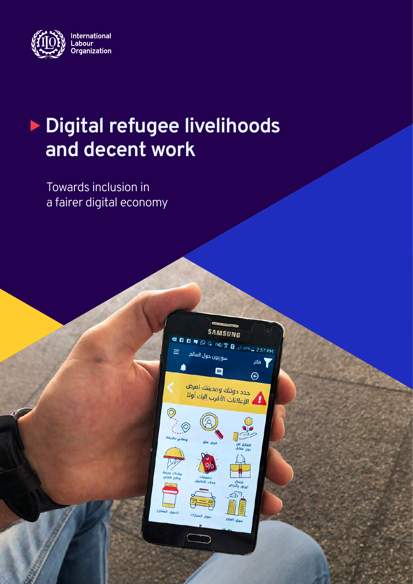

# <sup>X</sup> **Digital refugee livelihoods and decent work**

Towards inclusion in a fairer digital economy

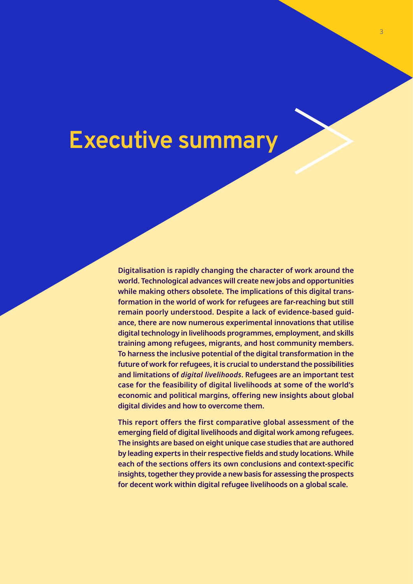# **Executive summary**

**Digitalisation is rapidly changing the character of work around the world. Technological advances will create new jobs and opportunities while making others obsolete. The implications of this digital transformation in the world of work for refugees are far-reaching but still remain poorly understood. Despite a lack of evidence-based guidance, there are now numerous experimental innovations that utilise digital technology in livelihoods programmes, employment, and skills training among refugees, migrants, and host community members. To harness the inclusive potential of the digital transformation in the future of work for refugees, it is crucial to understand the possibilities and limitations of** *digital livelihoods***. Refugees are an important test case for the feasibility of digital livelihoods at some of the world's economic and political margins, offering new insights about global digital divides and how to overcome them.** 

**This report offers the first comparative global assessment of the emerging field of digital livelihoods and digital work among refugees. The insights are based on eight unique case studies that are authored by leading experts in their respective fields and study locations. While each of the sections offers its own conclusions and context-specific insights, together they provide a new basis for assessing the prospects for decent work within digital refugee livelihoods on a global scale.**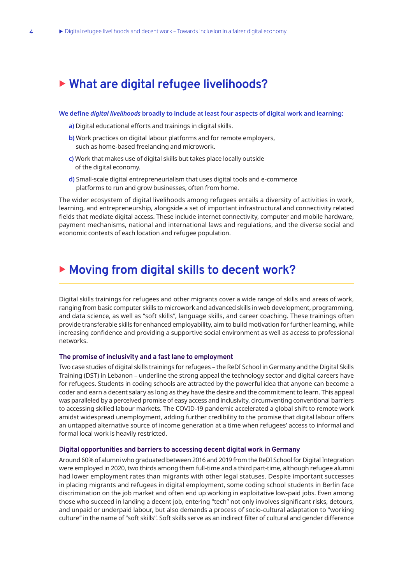## <sup>X</sup> **What are digital refugee livelihoods?**

#### **We define** *digital livelihoods* **broadly to include at least four aspects of digital work and learning:**

- **a)** Digital educational efforts and trainings in digital skills.
- **b)** Work practices on digital labour platforms and for remote employers, such as home-based freelancing and microwork.
- **c)** Work that makes use of digital skills but takes place locally outside of the digital economy.
- **d)** Small-scale digital entrepreneurialism that uses digital tools and e-commerce platforms to run and grow businesses, often from home.

The wider ecosystem of digital livelihoods among refugees entails a diversity of activities in work, learning, and entrepreneurship, alongside a set of important infrastructural and connectivity related fields that mediate digital access. These include internet connectivity, computer and mobile hardware, payment mechanisms, national and international laws and regulations, and the diverse social and economic contexts of each location and refugee population.

### ▶ Moving from digital skills to decent work?

Digital skills trainings for refugees and other migrants cover a wide range of skills and areas of work, ranging from basic computer skills to microwork and advanced skills in web development, programming, and data science, as well as "soft skills", language skills, and career coaching. These trainings often provide transferable skills for enhanced employability, aim to build motivation for further learning, while increasing confidence and providing a supportive social environment as well as access to professional networks.

#### **The promise of inclusivity and a fast lane to employment**

Two case studies of digital skills trainings for refugees – the ReDI School in Germany and the Digital Skills Training (DST) in Lebanon – underline the strong appeal the technology sector and digital careers have for refugees. Students in coding schools are attracted by the powerful idea that anyone can become a coder and earn a decent salary as long as they have the desire and the commitment to learn. This appeal was paralleled by a perceived promise of easy access and inclusivity, circumventing conventional barriers to accessing skilled labour markets. The COVID-19 pandemic accelerated a global shift to remote work amidst widespread unemployment, adding further credibility to the promise that digital labour offers an untapped alternative source of income generation at a time when refugees' access to informal and formal local work is heavily restricted.

#### **Digital opportunities and barriers to accessing decent digital work in Germany**

Around 60% of alumni who graduated between 2016 and 2019 from the ReDI School for Digital Integration were employed in 2020, two thirds among them full-time and a third part-time, although refugee alumni had lower employment rates than migrants with other legal statuses. Despite important successes in placing migrants and refugees in digital employment, some coding school students in Berlin face discrimination on the job market and often end up working in exploitative low-paid jobs. Even among those who succeed in landing a decent job, entering "tech" not only involves significant risks, detours, and unpaid or underpaid labour, but also demands a process of socio-cultural adaptation to "working culture" in the name of "soft skills". Soft skills serve as an indirect filter of cultural and gender difference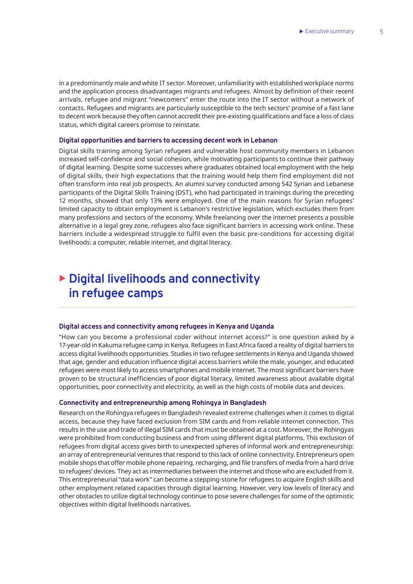in a predominantly male and white IT sector. Moreover, unfamiliarity with established workplace norms and the application process disadvantages migrants and refugees. Almost by definition of their recent arrivals, refugee and migrant "newcomers" enter the route into the IT sector without a network of contacts. Refugees and migrants are particularly susceptible to the tech sectors' promise of a fast lane to decent work because they often cannot accredit their pre-existing qualifications and face a loss of class status, which digital careers promise to reinstate.

#### **Digital opportunities and barriers to accessing decent work in Lebanon**

Digital skills training among Syrian refugees and vulnerable host community members in Lebanon increased self-confidence and social cohesion, while motivating participants to continue their pathway of digital learning. Despite some successes where graduates obtained local employment with the help of digital skills, their high expectations that the training would help them find employment did not often transform into real job prospects. An alumni survey conducted among 542 Syrian and Lebanese participants of the Digital Skills Training (DST), who had participated in trainings during the preceding 12 months, showed that only 13% were employed. One of the main reasons for Syrian refugees' limited capacity to obtain employment is Lebanon's restrictive legislation, which excludes them from many professions and sectors of the economy. While freelancing over the internet presents a possible alternative in a legal grey zone, refugees also face significant barriers in accessing work online. These barriers include a widespread struggle to fulfil even the basic pre-conditions for accessing digital livelihoods: a computer, reliable internet, and digital literacy.

# <sup>X</sup> **Digital livelihoods and connectivity in refugee camps**

#### **Digital access and connectivity among refugees in Kenya and Uganda**

"How can you become a professional coder without internet access?" is one question asked by a 17-year-old in Kakuma refugee camp in Kenya. Refugees in East Africa faced a reality of digital barriers to access digital livelihoods opportunities. Studies in two refugee settlements in Kenya and Uganda showed that age, gender and education influence digital access barriers while the male, younger, and educated refugees were most likely to access smartphones and mobile internet. The most significant barriers have proven to be structural inefficiencies of poor digital literacy, limited awareness about available digital opportunities, poor connectivity and electricity, as well as the high costs of mobile data and devices.

#### **Connectivity and entrepreneurship among Rohingya in Bangladesh**

Research on the Rohingya refugees in Bangladesh revealed extreme challenges when it comes to digital access, because they have faced exclusion from SIM cards and from reliable internet connection. This results in the use and trade of illegal SIM cards that must be obtained at a cost. Moreover, the Rohingyas were prohibited from conducting business and from using different digital platforms. This exclusion of refugees from digital access gives birth to unexpected spheres of informal work and entrepreneurship: an array of entrepreneurial ventures that respond to this lack of online connectivity. Entrepreneurs open mobile shops that offer mobile phone repairing, recharging, and file transfers of media from a hard drive to refugees' devices. They act as intermediaries between the internet and those who are excluded from it. This entrepreneurial "data work" can become a stepping-stone for refugees to acquire English skills and other employment related capacities through digital learning. However, very low levels of literacy and other obstacles to utilize digital technology continue to pose severe challenges for some of the optimistic objectives within digital livelihoods narratives.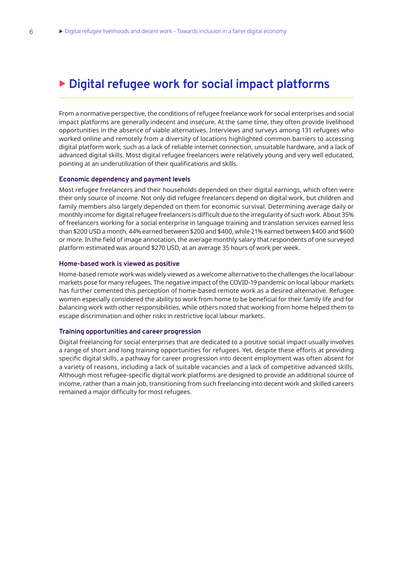## **Digital refugee work for social impact platforms**

From a normative perspective, the conditions of refugee freelance work for social enterprises and social impact platforms are generally indecent and insecure. At the same time, they often provide livelihood opportunities in the absence of viable alternatives. Interviews and surveys among 131 refugees who worked online and remotely from a diversity of locations highlighted common barriers to accessing digital platform work, such as a lack of reliable internet connection, unsuitable hardware, and a lack of advanced digital skills. Most digital refugee freelancers were relatively young and very well educated, pointing at an underutilization of their qualifications and skills.

#### **Economic dependency and payment levels**

Most refugee freelancers and their households depended on their digital earnings, which often were their only source of income. Not only did refugee freelancers depend on digital work, but children and family members also largely depended on them for economic survival. Determining average daily or monthly income for digital refugee freelancers is difficult due to the irregularity of such work. About 35% of freelancers working for a social enterprise in language training and translation services earned less than \$200 USD a month, 44% earned between \$200 and \$400, while 21% earned between \$400 and \$600 or more. In the field of image annotation, the average monthly salary that respondents of one surveyed platform estimated was around \$270 USD, at an average 35 hours of work per week.

#### **Home-based work is viewed as positive**

Home-based remote work was widely viewed as a welcome alternative to the challenges the local labour markets pose for many refugees. The negative impact of the COVID-19 pandemic on local labour markets has further cemented this perception of home-based remote work as a desired alternative. Refugee women especially considered the ability to work from home to be beneficial for their family life and for balancing work with other responsibilities, while others noted that working from home helped them to escape discrimination and other risks in restrictive local labour markets.

#### **Training opportunities and career progression**

Digital freelancing for social enterprises that are dedicated to a positive social impact usually involves a range of short and long training opportunities for refugees. Yet, despite these efforts at providing specific digital skills, a pathway for career progression into decent employment was often absent for a variety of reasons, including a lack of suitable vacancies and a lack of competitive advanced skills. Although most refugee-specific digital work platforms are designed to provide an additional source of income, rather than a main job, transitioning from such freelancing into decent work and skilled careers remained a major difficulty for most refugees.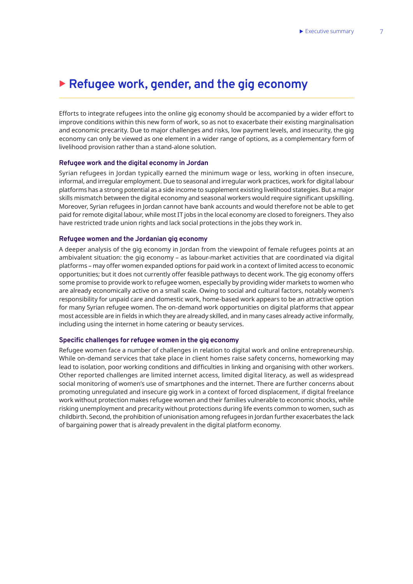### ▶ Refugee work, gender, and the gig economy

Efforts to integrate refugees into the online gig economy should be accompanied by a wider effort to improve conditions within this new form of work, so as not to exacerbate their existing marginalisation and economic precarity. Due to major challenges and risks, low payment levels, and insecurity, the gig economy can only be viewed as one element in a wider range of options, as a complementary form of livelihood provision rather than a stand-alone solution.

#### **Refugee work and the digital economy in Jordan**

Syrian refugees in Jordan typically earned the minimum wage or less, working in often insecure, informal, and irregular employment. Due to seasonal and irregular work practices, work for digital labour platforms has a strong potential as a side income to supplement existing livelihood stategies. But a major skills mismatch between the digital economy and seasonal workers would require significant upskilling. Moreover, Syrian refugees in Jordan cannot have bank accounts and would therefore not be able to get paid for remote digital labour, while most IT jobs in the local economy are closed to foreigners. They also have restricted trade union rights and lack social protections in the jobs they work in.

#### **Refugee women and the Jordanian gig economy**

A deeper analysis of the gig economy in Jordan from the viewpoint of female refugees points at an ambivalent situation: the gig economy – as labour-market activities that are coordinated via digital platforms – may offer women expanded options for paid work in a context of limited access to economic opportunities; but it does not currently offer feasible pathways to decent work. The gig economy offers some promise to provide work to refugee women, especially by providing wider markets to women who are already economically active on a small scale. Owing to social and cultural factors, notably women's responsibility for unpaid care and domestic work, home-based work appears to be an attractive option for many Syrian refugee women. The on-demand work opportunities on digital platforms that appear most accessible are in fields in which they are already skilled, and in many cases already active informally, including using the internet in home catering or beauty services.

#### **Specific challenges for refugee women in the gig economy**

Refugee women face a number of challenges in relation to digital work and online entrepreneurship. While on-demand services that take place in client homes raise safety concerns, homeworking may lead to isolation, poor working conditions and difficulties in linking and organising with other workers. Other reported challenges are limited internet access, limited digital literacy, as well as widespread social monitoring of women's use of smartphones and the internet. There are further concerns about promoting unregulated and insecure gig work in a context of forced displacement, if digital freelance work without protection makes refugee women and their families vulnerable to economic shocks, while risking unemployment and precarity without protections during life events common to women, such as childbirth. Second, the prohibition of unionisation among refugees in Jordan further exacerbates the lack of bargaining power that is already prevalent in the digital platform economy.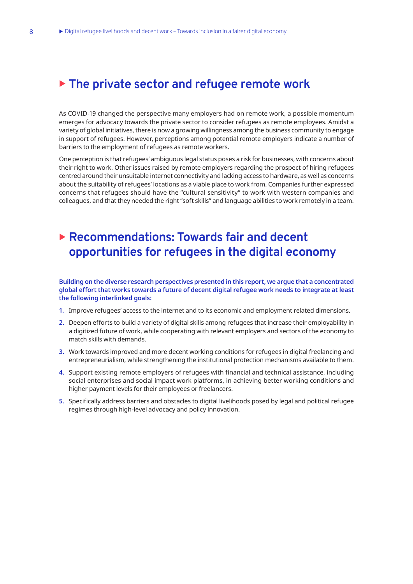### <sup>X</sup> **The private sector and refugee remote work**

As COVID-19 changed the perspective many employers had on remote work, a possible momentum emerges for advocacy towards the private sector to consider refugees as remote employees. Amidst a variety of global initiatives, there is now a growing willingness among the business community to engage in support of refugees. However, perceptions among potential remote employers indicate a number of barriers to the employment of refugees as remote workers.

One perception is that refugees' ambiguous legal status poses a risk for businesses, with concerns about their right to work. Other issues raised by remote employers regarding the prospect of hiring refugees centred around their unsuitable internet connectivity and lacking access to hardware, as well as concerns about the suitability of refugees' locations as a viable place to work from. Companies further expressed concerns that refugees should have the "cultural sensitivity" to work with western companies and colleagues, and that they needed the right "soft skills" and language abilities to work remotely in a team.

## ▶ Recommendations: Towards fair and decent **opportunities for refugees in the digital economy**

**Building on the diverse research perspectives presented in this report, we argue that a concentrated global effort that works towards a future of decent digital refugee work needs to integrate at least the following interlinked goals:**

- **1.** Improve refugees' access to the internet and to its economic and employment related dimensions.
- **2.** Deepen efforts to build a variety of digital skills among refugees that increase their employability in a digitized future of work, while cooperating with relevant employers and sectors of the economy to match skills with demands.
- **3.** Work towards improved and more decent working conditions for refugees in digital freelancing and entrepreneurialism, while strengthening the institutional protection mechanisms available to them.
- **4.** Support existing remote employers of refugees with financial and technical assistance, including social enterprises and social impact work platforms, in achieving better working conditions and higher payment levels for their employees or freelancers.
- **5.** Specifically address barriers and obstacles to digital livelihoods posed by legal and political refugee regimes through high-level advocacy and policy innovation.